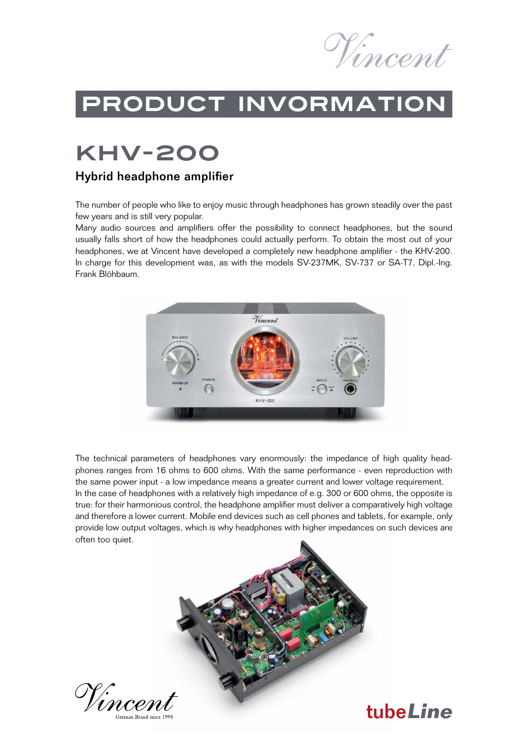

## ProduCt invormation

## KHV-200

#### Hybrid headphone amplifier

The number of people who like to enjoy music through headphones has grown steadily over the past few years and is still very popular.

Many audio sources and amplifiers offer the possibility to connect headphones, but the sound usually falls short of how the headphones could actually perform. To obtain the most out of your headphones, we at Vincent have developed a completely new headphone amplifier - the KHV-200. In charge for this development was, as with the models SV-237MK, SV-737 or SA-T7, Dipl.-Ing. Frank Blöhbaum.



The technical parameters of headphones vary enormously: the impedance of high quality headphones ranges from 16 ohms to 600 ohms. With the same performance - even reproduction with the same power input - a low impedance means a greater current and lower voltage requirement. In the case of headphones with a relatively high impedance of e.g. 300 or 600 ohms, the opposite is true: for their harmonious control, the headphone amplifier must deliver a comparatively high voltage and therefore a lower current. Mobile end devices such as cell phones and tablets, for example, only provide low output voltages, which is why headphones with higher impedances on such devices are often too quiet.